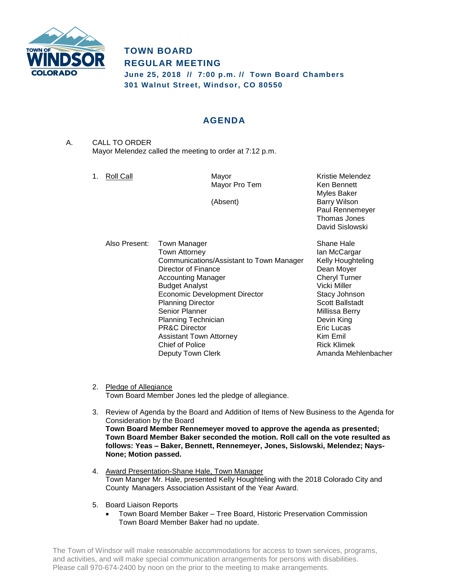

# **TOWN BOARD REGULAR MEETING June 25, 2018 // 7:00 p.m. // Town Board Chambers 301 Walnut Street, Windsor, CO 80550**

# **AGENDA**

- A. CALL TO ORDER Mayor Melendez called the meeting to order at 7:12 p.m.
	-

Mayor Pro Tem Ken Bennett

1. Roll Call **Mayor** Mayor **Mayor** Kristie Melendez Myles Baker (Absent) Barry Wilson Paul Rennemeyer Thomas Jones David Sislowski

Also Present: Town Manager Shane Hale Town Attorney **Ian McCargar** Communications/Assistant to Town Manager Kelly Houghteling Director of Finance Director of Finance Accounting Manager and Cheryl Turner<br>
Budget Analyst<br>
Cicki Miller **Budget Analyst** Economic Development Director Stacy Johnson Planning Director **Scott Ballstadt** Senior Planner **Millissa** Berry Planning Technician **Devin King** PR&C Director **Example 2018** Eric Lucas Assistant Town Attorney **Kim Emil** Chief of Police **Rick Klimek** Deputy Town Clerk **Amanda Mehlenbacher** Amanda Mehlenbacher

- 2. Pledge of Allegiance Town Board Member Jones led the pledge of allegiance.
- 3. Review of Agenda by the Board and Addition of Items of New Business to the Agenda for Consideration by the Board **Town Board Member Rennemeyer moved to approve the agenda as presented; Town Board Member Baker seconded the motion. Roll call on the vote resulted as follows: Yeas – Baker, Bennett, Rennemeyer, Jones, Sislowski, Melendez; Nays-None; Motion passed.**
- 4. Award Presentation-Shane Hale, Town Manager Town Manger Mr. Hale, presented Kelly Houghteling with the 2018 Colorado City and County Managers Association Assistant of the Year Award.
- 5. Board Liaison Reports
	- Town Board Member Baker Tree Board, Historic Preservation Commission Town Board Member Baker had no update.

The Town of Windsor will make reasonable accommodations for access to town services, programs, and activities, and will make special communication arrangements for persons with disabilities. Please call 970-674-2400 by noon on the prior to the meeting to make arrangements.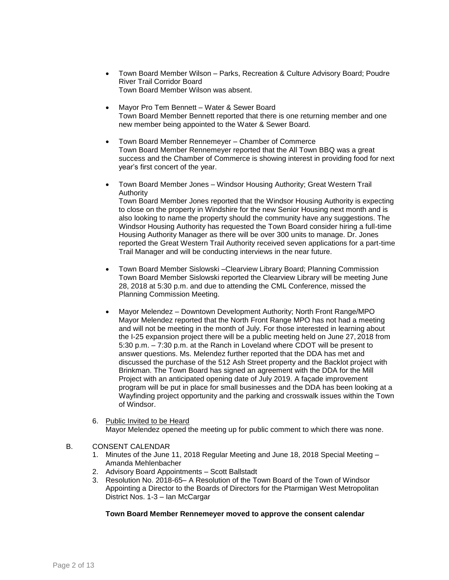- Town Board Member Wilson Parks, Recreation & Culture Advisory Board; Poudre River Trail Corridor Board Town Board Member Wilson was absent.
- Mayor Pro Tem Bennett Water & Sewer Board Town Board Member Bennett reported that there is one returning member and one new member being appointed to the Water & Sewer Board.
- Town Board Member Rennemeyer Chamber of Commerce Town Board Member Rennemeyer reported that the All Town BBQ was a great success and the Chamber of Commerce is showing interest in providing food for next year's first concert of the year.
- Town Board Member Jones Windsor Housing Authority; Great Western Trail Authority Town Board Member Jones reported that the Windsor Housing Authority is expecting

to close on the property in Windshire for the new Senior Housing next month and is also looking to name the property should the community have any suggestions. The Windsor Housing Authority has requested the Town Board consider hiring a full-time Housing Authority Manager as there will be over 300 units to manage. Dr. Jones reported the Great Western Trail Authority received seven applications for a part-time Trail Manager and will be conducting interviews in the near future.

- Town Board Member Sislowski –Clearview Library Board; Planning Commission Town Board Member Sislowski reported the Clearview Library will be meeting June 28, 2018 at 5:30 p.m. and due to attending the CML Conference, missed the Planning Commission Meeting.
- Mayor Melendez Downtown Development Authority; North Front Range/MPO Mayor Melendez reported that the North Front Range MPO has not had a meeting and will not be meeting in the month of July. For those interested in learning about the I-25 expansion project there will be a public meeting held on June 27, 2018 from 5:30 p.m. – 7:30 p.m. at the Ranch in Loveland where CDOT will be present to answer questions. Ms. Melendez further reported that the DDA has met and discussed the purchase of the 512 Ash Street property and the Backlot project with Brinkman. The Town Board has signed an agreement with the DDA for the Mill Project with an anticipated opening date of July 2019. A façade improvement program will be put in place for small businesses and the DDA has been looking at a Wayfinding project opportunity and the parking and crosswalk issues within the Town of Windsor.
- 6. Public Invited to be Heard Mayor Melendez opened the meeting up for public comment to which there was none.

## B. CONSENT CALENDAR

- 1. Minutes of the June 11, 2018 Regular Meeting and June 18, 2018 Special Meeting Amanda Mehlenbacher
- 2. Advisory Board Appointments Scott Ballstadt
- 3. Resolution No. 2018-65– A Resolution of the Town Board of the Town of Windsor Appointing a Director to the Boards of Directors for the Ptarmigan West Metropolitan District Nos. 1-3 – Ian McCargar

## **Town Board Member Rennemeyer moved to approve the consent calendar**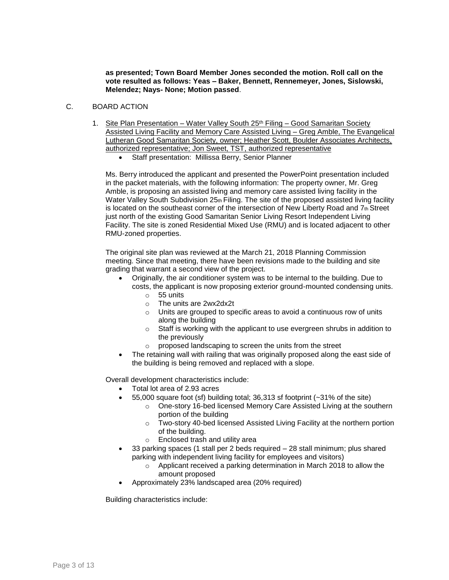**as presented; Town Board Member Jones seconded the motion. Roll call on the vote resulted as follows: Yeas – Baker, Bennett, Rennemeyer, Jones, Sislowski, Melendez; Nays- None; Motion passed**.

### C. BOARD ACTION

- 1. Site Plan Presentation Water Valley South 25<sup>th</sup> Filing Good Samaritan Society Assisted Living Facility and Memory Care Assisted Living – Greg Amble, The Evangelical Lutheran Good Samaritan Society, owner; Heather Scott, Boulder Associates Architects, authorized representative; Jon Sweet, TST, authorized representative
	- Staff presentation: Millissa Berry, Senior Planner

Ms. Berry introduced the applicant and presented the PowerPoint presentation included in the packet materials, with the following information: The property owner, Mr. Greg Amble, is proposing an assisted living and memory care assisted living facility in the Water Valley South Subdivision 25th Filing. The site of the proposed assisted living facility is located on the southeast corner of the intersection of New Liberty Road and  $7<sub>th</sub>$  Street just north of the existing Good Samaritan Senior Living Resort Independent Living Facility. The site is zoned Residential Mixed Use (RMU) and is located adjacent to other RMU-zoned properties.

The original site plan was reviewed at the March 21, 2018 Planning Commission meeting. Since that meeting, there have been revisions made to the building and site grading that warrant a second view of the project.

- Originally, the air conditioner system was to be internal to the building. Due to costs, the applicant is now proposing exterior ground-mounted condensing units.
	- o 55 units
	- o The units are 2wx2dx2t
	- o Units are grouped to specific areas to avoid a continuous row of units along the building
	- o Staff is working with the applicant to use evergreen shrubs in addition to the previously
	- o proposed landscaping to screen the units from the street
- The retaining wall with railing that was originally proposed along the east side of the building is being removed and replaced with a slope.

Overall development characteristics include:

- Total lot area of 2.93 acres
- 55,000 square foot (sf) building total; 36,313 sf footprint (~31% of the site)
	- o One-story 16-bed licensed Memory Care Assisted Living at the southern portion of the building
	- o Two-story 40-bed licensed Assisted Living Facility at the northern portion of the building.
	- o Enclosed trash and utility area
- 33 parking spaces (1 stall per 2 beds required 28 stall minimum; plus shared parking with independent living facility for employees and visitors)
	- o Applicant received a parking determination in March 2018 to allow the amount proposed
- Approximately 23% landscaped area (20% required)

Building characteristics include: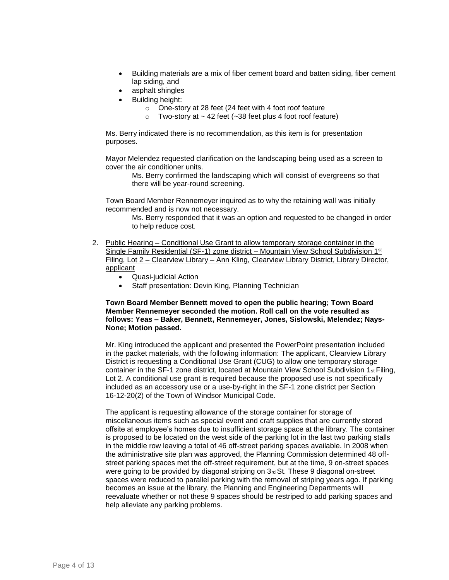- Building materials are a mix of fiber cement board and batten siding, fiber cement lap siding, and
- asphalt shingles
- Building height:
	- o One-story at 28 feet (24 feet with 4 foot roof feature
	- $\circ$  Two-story at  $\sim$  42 feet ( $\sim$ 38 feet plus 4 foot roof feature)

Ms. Berry indicated there is no recommendation, as this item is for presentation purposes.

Mayor Melendez requested clarification on the landscaping being used as a screen to cover the air conditioner units.

Ms. Berry confirmed the landscaping which will consist of evergreens so that there will be year-round screening.

Town Board Member Rennemeyer inquired as to why the retaining wall was initially recommended and is now not necessary.

Ms. Berry responded that it was an option and requested to be changed in order to help reduce cost.

- 2. Public Hearing Conditional Use Grant to allow temporary storage container in the Single Family Residential (SF-1) zone district – Mountain View School Subdivision 1st Filing, Lot 2 – Clearview Library – Ann Kling, Clearview Library District, Library Director, applicant
	- Quasi-judicial Action
	- Staff presentation: Devin King, Planning Technician

#### **Town Board Member Bennett moved to open the public hearing; Town Board Member Rennemeyer seconded the motion. Roll call on the vote resulted as follows: Yeas – Baker, Bennett, Rennemeyer, Jones, Sislowski, Melendez; Nays-None; Motion passed.**

Mr. King introduced the applicant and presented the PowerPoint presentation included in the packet materials, with the following information: The applicant, Clearview Library District is requesting a Conditional Use Grant (CUG) to allow one temporary storage container in the SF-1 zone district, located at Mountain View School Subdivision 1st Filing, Lot 2. A conditional use grant is required because the proposed use is not specifically included as an accessory use or a use-by-right in the SF-1 zone district per Section 16-12-20(2) of the Town of Windsor Municipal Code.

The applicant is requesting allowance of the storage container for storage of miscellaneous items such as special event and craft supplies that are currently stored offsite at employee's homes due to insufficient storage space at the library. The container is proposed to be located on the west side of the parking lot in the last two parking stalls in the middle row leaving a total of 46 off-street parking spaces available. In 2008 when the administrative site plan was approved, the Planning Commission determined 48 offstreet parking spaces met the off-street requirement, but at the time, 9 on-street spaces were going to be provided by diagonal striping on 3<sup>rd</sup> St. These 9 diagonal on-street spaces were reduced to parallel parking with the removal of striping years ago. If parking becomes an issue at the library, the Planning and Engineering Departments will reevaluate whether or not these 9 spaces should be restriped to add parking spaces and help alleviate any parking problems.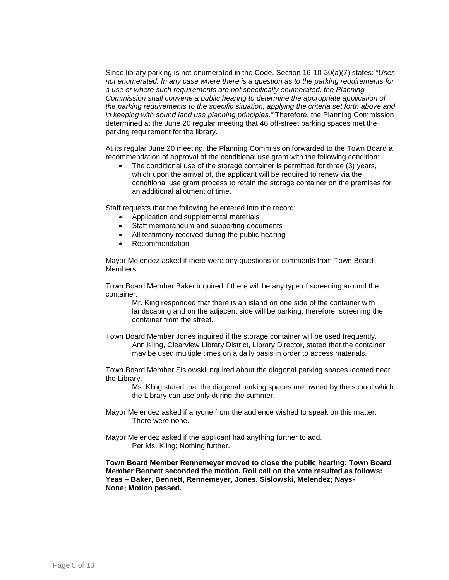Since library parking is not enumerated in the Code, Section 16-10-30(a)(7) states: "*Uses not enumerated. In any case where there is a question as to the parking requirements for a use or where such requirements are not specifically enumerated, the Planning Commission shall convene a public hearing to determine the appropriate application of the parking requirements to the specific situation, applying the criteria set forth above and in keeping with sound land use planning principles."* Therefore, the Planning Commission determined at the June 20 regular meeting that 46 off-street parking spaces met the parking requirement for the library.

At its regular June 20 meeting, the Planning Commission forwarded to the Town Board a recommendation of approval of the conditional use grant with the following condition:

 The conditional use of the storage container is permitted for three (3) years, which upon the arrival of, the applicant will be required to renew via the conditional use grant process to retain the storage container on the premises for an additional allotment of time.

Staff requests that the following be entered into the record:

- Application and supplemental materials
- Staff memorandum and supporting documents
- All testimony received during the public hearing
- Recommendation

Mayor Melendez asked if there were any questions or comments from Town Board Members.

Town Board Member Baker inquired if there will be any type of screening around the container.

Mr. King responded that there is an island on one side of the container with landscaping and on the adjacent side will be parking, therefore, screening the container from the street.

Town Board Member Jones inquired if the storage container will be used frequently. Ann Kling, Clearview Library District, Library Director, stated that the container may be used multiple times on a daily basis in order to access materials.

Town Board Member Sislowski inquired about the diagonal parking spaces located near the Library.

Ms. Kling stated that the diagonal parking spaces are owned by the school which the Library can use only during the summer.

- Mayor Melendez asked if anyone from the audience wished to speak on this matter. There were none.
- Mayor Melendez asked if the applicant had anything further to add. Per Ms. Kling; Nothing further.

**Town Board Member Rennemeyer moved to close the public hearing; Town Board Member Bennett seconded the motion. Roll call on the vote resulted as follows: Yeas – Baker, Bennett, Rennemeyer, Jones, Sislowski, Melendez; Nays-None; Motion passed.**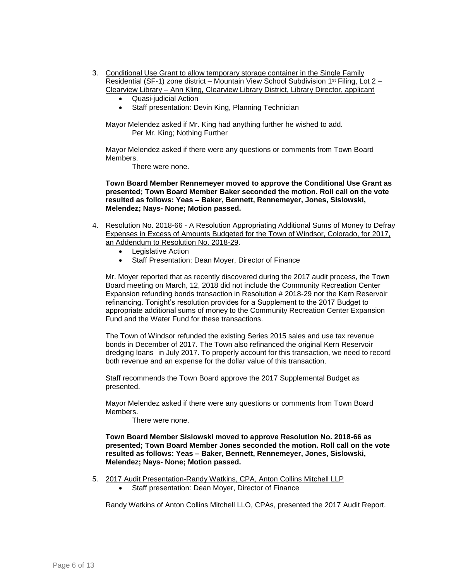- 3. Conditional Use Grant to allow temporary storage container in the Single Family Residential (SF-1) zone district – Mountain View School Subdivision 1<sup>st</sup> Filing, Lot  $2 -$ Clearview Library – Ann Kling, Clearview Library District, Library Director, applicant
	- Quasi-judicial Action
	- Staff presentation: Devin King, Planning Technician

Mayor Melendez asked if Mr. King had anything further he wished to add. Per Mr. King; Nothing Further

Mayor Melendez asked if there were any questions or comments from Town Board Members.

There were none.

**Town Board Member Rennemeyer moved to approve the Conditional Use Grant as presented; Town Board Member Baker seconded the motion. Roll call on the vote resulted as follows: Yeas – Baker, Bennett, Rennemeyer, Jones, Sislowski, Melendez; Nays- None; Motion passed.**

- 4. Resolution No. 2018-66 A Resolution Appropriating Additional Sums of Money to Defray Expenses in Excess of Amounts Budgeted for the Town of Windsor, Colorado, for 2017, an Addendum to Resolution No. 2018-29.
	- Legislative Action
	- Staff Presentation: Dean Moyer, Director of Finance

Mr. Moyer reported that as recently discovered during the 2017 audit process, the Town Board meeting on March, 12, 2018 did not include the Community Recreation Center Expansion refunding bonds transaction in Resolution # 2018-29 nor the Kern Reservoir refinancing. Tonight's resolution provides for a Supplement to the 2017 Budget to appropriate additional sums of money to the Community Recreation Center Expansion Fund and the Water Fund for these transactions.

The Town of Windsor refunded the existing Series 2015 sales and use tax revenue bonds in December of 2017. The Town also refinanced the original Kern Reservoir dredging loans in July 2017. To properly account for this transaction, we need to record both revenue and an expense for the dollar value of this transaction.

Staff recommends the Town Board approve the 2017 Supplemental Budget as presented.

Mayor Melendez asked if there were any questions or comments from Town Board Members.

There were none.

**Town Board Member Sislowski moved to approve Resolution No. 2018-66 as presented; Town Board Member Jones seconded the motion. Roll call on the vote resulted as follows: Yeas – Baker, Bennett, Rennemeyer, Jones, Sislowski, Melendez; Nays- None; Motion passed.**

- 5. 2017 Audit Presentation-Randy Watkins, CPA, Anton Collins Mitchell LLP
	- Staff presentation: Dean Moyer, Director of Finance

Randy Watkins of Anton Collins Mitchell LLO, CPAs, presented the 2017 Audit Report.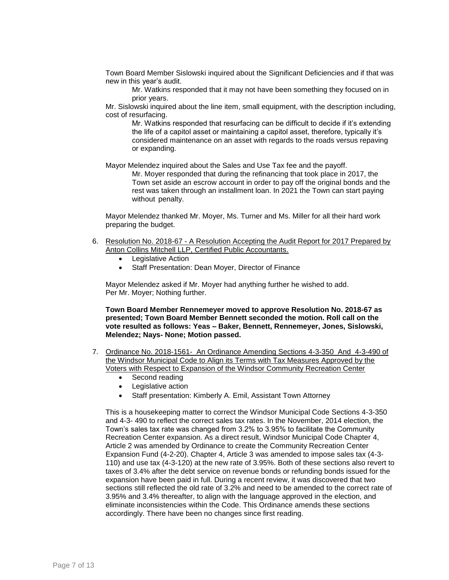Town Board Member Sislowski inquired about the Significant Deficiencies and if that was new in this year's audit.

Mr. Watkins responded that it may not have been something they focused on in prior years.

Mr. Sislowski inquired about the line item, small equipment, with the description including, cost of resurfacing.

Mr. Watkins responded that resurfacing can be difficult to decide if it's extending the life of a capitol asset or maintaining a capitol asset, therefore, typically it's considered maintenance on an asset with regards to the roads versus repaving or expanding.

Mayor Melendez inquired about the Sales and Use Tax fee and the payoff.

Mr. Moyer responded that during the refinancing that took place in 2017, the Town set aside an escrow account in order to pay off the original bonds and the rest was taken through an installment loan. In 2021 the Town can start paying without penalty.

Mayor Melendez thanked Mr. Moyer, Ms. Turner and Ms. Miller for all their hard work preparing the budget.

- 6. Resolution No. 2018-67 A Resolution Accepting the Audit Report for 2017 Prepared by Anton Collins Mitchell LLP, Certified Public Accountants.
	- Legislative Action
	- Staff Presentation: Dean Moyer, Director of Finance

Mayor Melendez asked if Mr. Moyer had anything further he wished to add. Per Mr. Moyer; Nothing further.

**Town Board Member Rennemeyer moved to approve Resolution No. 2018-67 as presented; Town Board Member Bennett seconded the motion. Roll call on the vote resulted as follows: Yeas – Baker, Bennett, Rennemeyer, Jones, Sislowski, Melendez; Nays- None; Motion passed.**

- 7. Ordinance No. 2018-1561- An Ordinance Amending Sections 4-3-350 And 4-3-490 of the Windsor Municipal Code to Align its Terms with Tax Measures Approved by the Voters with Respect to Expansion of the Windsor Community Recreation Center
	- Second reading
	- Legislative action
	- Staff presentation: Kimberly A. Emil, Assistant Town Attorney

This is a housekeeping matter to correct the Windsor Municipal Code Sections 4-3-350 and 4-3- 490 to reflect the correct sales tax rates. In the November, 2014 election, the Town's sales tax rate was changed from 3.2% to 3.95% to facilitate the Community Recreation Center expansion. As a direct result, Windsor Municipal Code Chapter 4, Article 2 was amended by Ordinance to create the Community Recreation Center Expansion Fund (4-2-20). Chapter 4, Article 3 was amended to impose sales tax (4-3- 110) and use tax (4-3-120) at the new rate of 3.95%. Both of these sections also revert to taxes of 3.4% after the debt service on revenue bonds or refunding bonds issued for the expansion have been paid in full. During a recent review, it was discovered that two sections still reflected the old rate of 3.2% and need to be amended to the correct rate of 3.95% and 3.4% thereafter, to align with the language approved in the election, and eliminate inconsistencies within the Code. This Ordinance amends these sections accordingly. There have been no changes since first reading.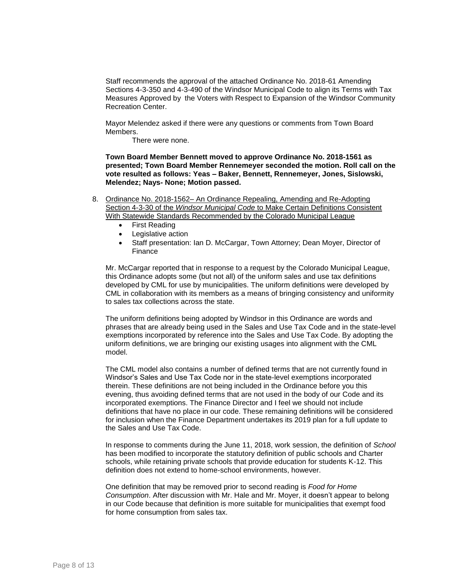Staff recommends the approval of the attached Ordinance No. 2018-61 Amending Sections 4-3-350 and 4-3-490 of the Windsor Municipal Code to align its Terms with Tax Measures Approved by the Voters with Respect to Expansion of the Windsor Community Recreation Center.

Mayor Melendez asked if there were any questions or comments from Town Board Members.

There were none.

**Town Board Member Bennett moved to approve Ordinance No. 2018-1561 as presented; Town Board Member Rennemeyer seconded the motion. Roll call on the vote resulted as follows: Yeas – Baker, Bennett, Rennemeyer, Jones, Sislowski, Melendez; Nays- None; Motion passed.**

- 8. Ordinance No. 2018-1562– An Ordinance Repealing, Amending and Re-Adopting Section 4-3-30 of the *Windsor Municipal Code* to Make Certain Definitions Consistent With Statewide Standards Recommended by the Colorado Municipal League
	- First Reading
	- Legislative action
	- Staff presentation: Ian D. McCargar, Town Attorney; Dean Moyer, Director of Finance

Mr. McCargar reported that in response to a request by the Colorado Municipal League, this Ordinance adopts some (but not all) of the uniform sales and use tax definitions developed by CML for use by municipalities. The uniform definitions were developed by CML in collaboration with its members as a means of bringing consistency and uniformity to sales tax collections across the state.

The uniform definitions being adopted by Windsor in this Ordinance are words and phrases that are already being used in the Sales and Use Tax Code and in the state-level exemptions incorporated by reference into the Sales and Use Tax Code. By adopting the uniform definitions, we are bringing our existing usages into alignment with the CML model.

The CML model also contains a number of defined terms that are not currently found in Windsor's Sales and Use Tax Code nor in the state-level exemptions incorporated therein. These definitions are not being included in the Ordinance before you this evening, thus avoiding defined terms that are not used in the body of our Code and its incorporated exemptions. The Finance Director and I feel we should not include definitions that have no place in our code. These remaining definitions will be considered for inclusion when the Finance Department undertakes its 2019 plan for a full update to the Sales and Use Tax Code.

In response to comments during the June 11, 2018, work session, the definition of *School* has been modified to incorporate the statutory definition of public schools and Charter schools, while retaining private schools that provide education for students K-12. This definition does not extend to home-school environments, however.

One definition that may be removed prior to second reading is *Food for Home Consumption*. After discussion with Mr. Hale and Mr. Moyer, it doesn't appear to belong in our Code because that definition is more suitable for municipalities that exempt food for home consumption from sales tax.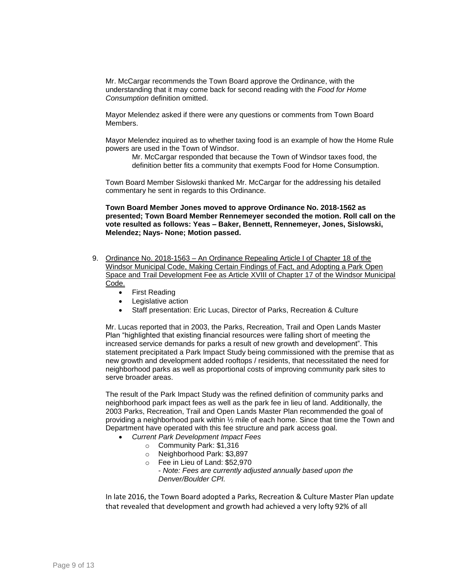Mr. McCargar recommends the Town Board approve the Ordinance, with the understanding that it may come back for second reading with the *Food for Home Consumption* definition omitted.

Mayor Melendez asked if there were any questions or comments from Town Board **Members** 

Mayor Melendez inquired as to whether taxing food is an example of how the Home Rule powers are used in the Town of Windsor.

Mr. McCargar responded that because the Town of Windsor taxes food, the definition better fits a community that exempts Food for Home Consumption.

Town Board Member Sislowski thanked Mr. McCargar for the addressing his detailed commentary he sent in regards to this Ordinance.

**Town Board Member Jones moved to approve Ordinance No. 2018-1562 as presented; Town Board Member Rennemeyer seconded the motion. Roll call on the vote resulted as follows: Yeas – Baker, Bennett, Rennemeyer, Jones, Sislowski, Melendez; Nays- None; Motion passed.**

- 9. Ordinance No. 2018-1563 An Ordinance Repealing Article I of Chapter 18 of the Windsor Municipal Code, Making Certain Findings of Fact, and Adopting a Park Open Space and Trail Development Fee as Article XVIII of Chapter 17 of the Windsor Municipal Code.
	- First Reading
	- Legislative action
	- Staff presentation: Eric Lucas, Director of Parks, Recreation & Culture

Mr. Lucas reported that in 2003, the Parks, Recreation, Trail and Open Lands Master Plan "highlighted that existing financial resources were falling short of meeting the increased service demands for parks a result of new growth and development". This statement precipitated a Park Impact Study being commissioned with the premise that as new growth and development added rooftops / residents, that necessitated the need for neighborhood parks as well as proportional costs of improving community park sites to serve broader areas.

The result of the Park Impact Study was the refined definition of community parks and neighborhood park impact fees as well as the park fee in lieu of land. Additionally, the 2003 Parks, Recreation, Trail and Open Lands Master Plan recommended the goal of providing a neighborhood park within ½ mile of each home. Since that time the Town and Department have operated with this fee structure and park access goal.

- *Current Park Development Impact Fees*
	- o Community Park: \$1,316
	- o Neighborhood Park: \$3,897
	- o Fee in Lieu of Land: \$52,970

- *Note: Fees are currently adjusted annually based upon the Denver/Boulder CPI.*

In late 2016, the Town Board adopted a Parks, Recreation & Culture Master Plan update that revealed that development and growth had achieved a very lofty 92% of all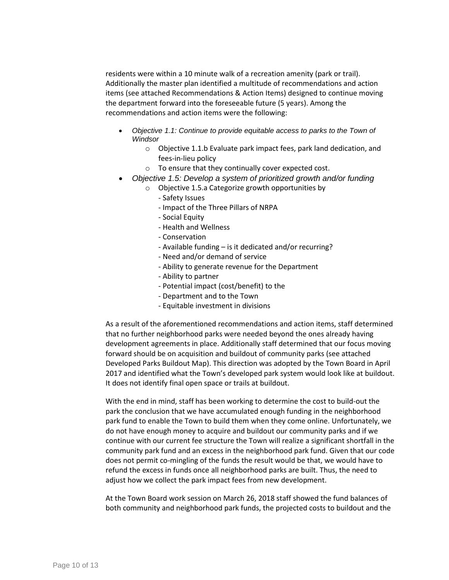residents were within a 10 minute walk of a recreation amenity (park or trail). Additionally the master plan identified a multitude of recommendations and action items (see attached Recommendations & Action Items) designed to continue moving the department forward into the foreseeable future (5 years). Among the recommendations and action items were the following:

- *Objective 1.1: Continue to provide equitable access to parks to the Town of Windsor*
	- o Objective 1.1.b Evaluate park impact fees, park land dedication, and fees-in-lieu policy
	- o To ensure that they continually cover expected cost.
- *Objective 1.5: Develop a system of prioritized growth and/or funding*
	- o Objective 1.5.a Categorize growth opportunities by
		- Safety Issues
		- Impact of the Three Pillars of NRPA
		- Social Equity
		- Health and Wellness
		- Conservation
		- Available funding is it dedicated and/or recurring?
		- Need and/or demand of service
		- Ability to generate revenue for the Department
		- Ability to partner
		- Potential impact (cost/benefit) to the
		- Department and to the Town
		- Equitable investment in divisions

As a result of the aforementioned recommendations and action items, staff determined that no further neighborhood parks were needed beyond the ones already having development agreements in place. Additionally staff determined that our focus moving forward should be on acquisition and buildout of community parks (see attached Developed Parks Buildout Map). This direction was adopted by the Town Board in April 2017 and identified what the Town's developed park system would look like at buildout. It does not identify final open space or trails at buildout.

With the end in mind, staff has been working to determine the cost to build-out the park the conclusion that we have accumulated enough funding in the neighborhood park fund to enable the Town to build them when they come online. Unfortunately, we do not have enough money to acquire and buildout our community parks and if we continue with our current fee structure the Town will realize a significant shortfall in the community park fund and an excess in the neighborhood park fund. Given that our code does not permit co-mingling of the funds the result would be that, we would have to refund the excess in funds once all neighborhood parks are built. Thus, the need to adjust how we collect the park impact fees from new development.

At the Town Board work session on March 26, 2018 staff showed the fund balances of both community and neighborhood park funds, the projected costs to buildout and the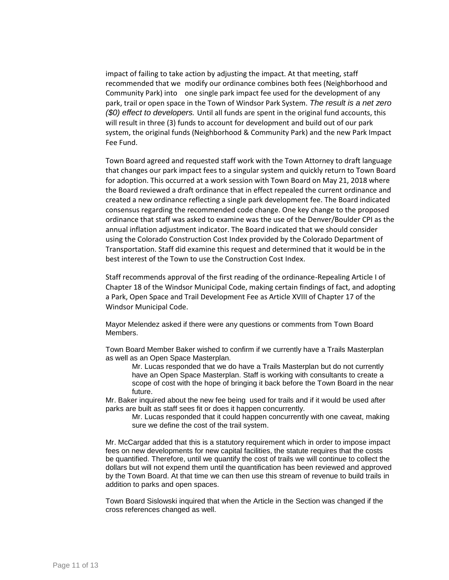impact of failing to take action by adjusting the impact. At that meeting, staff recommended that we modify our ordinance combines both fees (Neighborhood and Community Park) into one single park impact fee used for the development of any park, trail or open space in the Town of Windsor Park System. *The result is a net zero (\$0) effect to developers.* Until all funds are spent in the original fund accounts, this will result in three (3) funds to account for development and build out of our park system, the original funds (Neighborhood & Community Park) and the new Park Impact Fee Fund.

Town Board agreed and requested staff work with the Town Attorney to draft language that changes our park impact fees to a singular system and quickly return to Town Board for adoption. This occurred at a work session with Town Board on May 21, 2018 where the Board reviewed a draft ordinance that in effect repealed the current ordinance and created a new ordinance reflecting a single park development fee. The Board indicated consensus regarding the recommended code change. One key change to the proposed ordinance that staff was asked to examine was the use of the Denver/Boulder CPI as the annual inflation adjustment indicator. The Board indicated that we should consider using the Colorado Construction Cost Index provided by the Colorado Department of Transportation. Staff did examine this request and determined that it would be in the best interest of the Town to use the Construction Cost Index.

Staff recommends approval of the first reading of the ordinance-Repealing Article I of Chapter 18 of the Windsor Municipal Code, making certain findings of fact, and adopting a Park, Open Space and Trail Development Fee as Article XVIII of Chapter 17 of the Windsor Municipal Code.

Mayor Melendez asked if there were any questions or comments from Town Board Members.

Town Board Member Baker wished to confirm if we currently have a Trails Masterplan as well as an Open Space Masterplan.

Mr. Lucas responded that we do have a Trails Masterplan but do not currently have an Open Space Masterplan. Staff is working with consultants to create a scope of cost with the hope of bringing it back before the Town Board in the near future.

Mr. Baker inquired about the new fee being used for trails and if it would be used after parks are built as staff sees fit or does it happen concurrently.

Mr. Lucas responded that it could happen concurrently with one caveat, making sure we define the cost of the trail system.

Mr. McCargar added that this is a statutory requirement which in order to impose impact fees on new developments for new capital facilities, the statute requires that the costs be quantified. Therefore, until we quantify the cost of trails we will continue to collect the dollars but will not expend them until the quantification has been reviewed and approved by the Town Board. At that time we can then use this stream of revenue to build trails in addition to parks and open spaces.

Town Board Sislowski inquired that when the Article in the Section was changed if the cross references changed as well.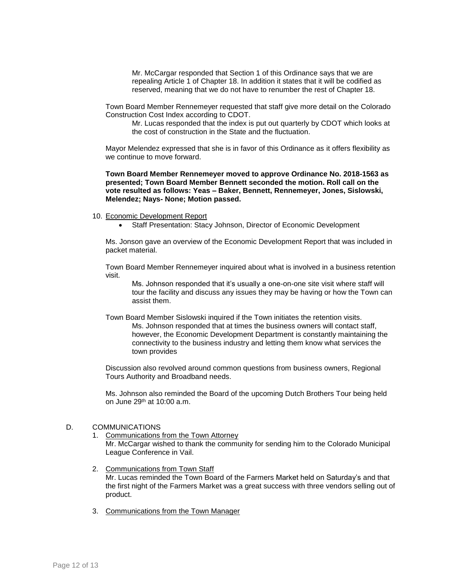Mr. McCargar responded that Section 1 of this Ordinance says that we are repealing Article 1 of Chapter 18. In addition it states that it will be codified as reserved, meaning that we do not have to renumber the rest of Chapter 18.

Town Board Member Rennemeyer requested that staff give more detail on the Colorado Construction Cost Index according to CDOT.

Mr. Lucas responded that the index is put out quarterly by CDOT which looks at the cost of construction in the State and the fluctuation.

Mayor Melendez expressed that she is in favor of this Ordinance as it offers flexibility as we continue to move forward.

**Town Board Member Rennemeyer moved to approve Ordinance No. 2018-1563 as presented; Town Board Member Bennett seconded the motion. Roll call on the vote resulted as follows: Yeas – Baker, Bennett, Rennemeyer, Jones, Sislowski, Melendez; Nays- None; Motion passed.**

- 10. Economic Development Report
	- Staff Presentation: Stacy Johnson, Director of Economic Development

Ms. Jonson gave an overview of the Economic Development Report that was included in packet material.

Town Board Member Rennemeyer inquired about what is involved in a business retention visit.

Ms. Johnson responded that it's usually a one-on-one site visit where staff will tour the facility and discuss any issues they may be having or how the Town can assist them.

Town Board Member Sislowski inquired if the Town initiates the retention visits. Ms. Johnson responded that at times the business owners will contact staff, however, the Economic Development Department is constantly maintaining the connectivity to the business industry and letting them know what services the town provides

Discussion also revolved around common questions from business owners, Regional Tours Authority and Broadband needs.

Ms. Johnson also reminded the Board of the upcoming Dutch Brothers Tour being held on June 29th at 10:00 a.m.

#### D. COMMUNICATIONS

- 1. Communications from the Town Attorney Mr. McCargar wished to thank the community for sending him to the Colorado Municipal League Conference in Vail.
- 2. Communications from Town Staff Mr. Lucas reminded the Town Board of the Farmers Market held on Saturday's and that the first night of the Farmers Market was a great success with three vendors selling out of product.
- 3. Communications from the Town Manager